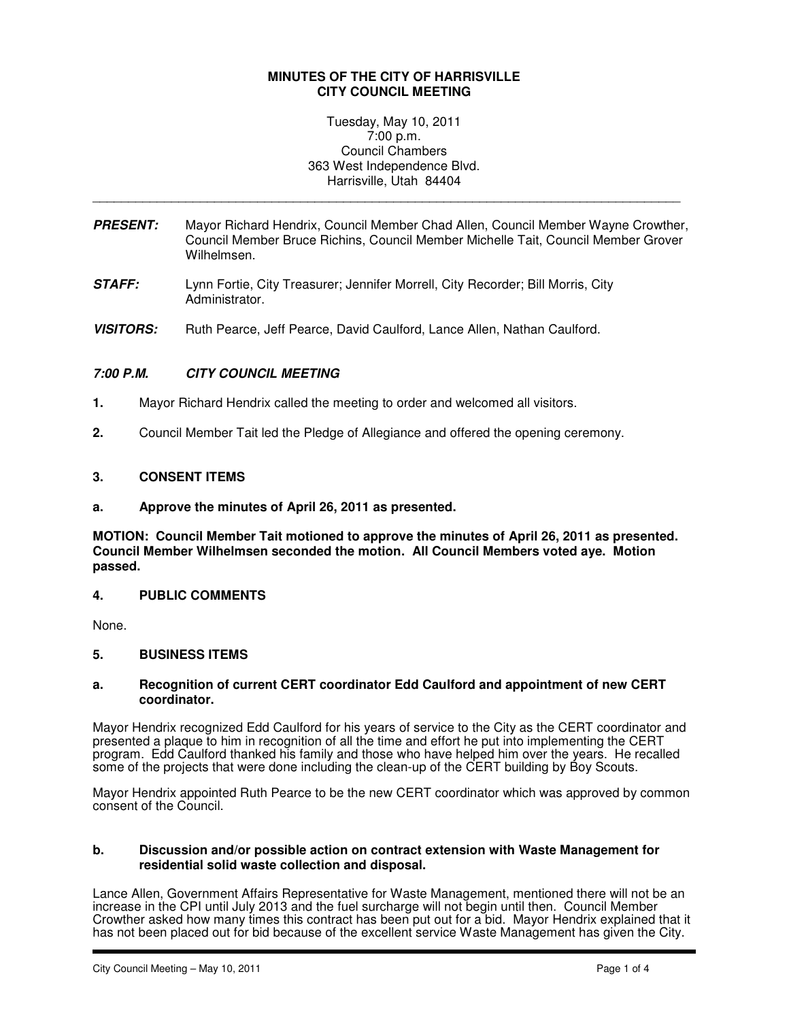## **MINUTES OF THE CITY OF HARRISVILLE CITY COUNCIL MEETING**

## Tuesday, May 10, 2011 7:00 p.m. Council Chambers 363 West Independence Blvd. Harrisville, Utah 84404

**PRESENT:** Mayor Richard Hendrix, Council Member Chad Allen, Council Member Wayne Crowther, Council Member Bruce Richins, Council Member Michelle Tait, Council Member Grover Wilhelmsen.

\_\_\_\_\_\_\_\_\_\_\_\_\_\_\_\_\_\_\_\_\_\_\_\_\_\_\_\_\_\_\_\_\_\_\_\_\_\_\_\_\_\_\_\_\_\_\_\_\_\_\_\_\_\_\_\_\_\_\_\_\_\_\_\_\_\_\_\_\_\_\_\_\_\_\_\_\_\_\_\_\_\_

- **STAFF:** Lynn Fortie, City Treasurer; Jennifer Morrell, City Recorder; Bill Morris, City Administrator.
- **VISITORS:** Ruth Pearce, Jeff Pearce, David Caulford, Lance Allen, Nathan Caulford.

# **7:00 P.M. CITY COUNCIL MEETING**

- **1.** Mayor Richard Hendrix called the meeting to order and welcomed all visitors.
- **2.** Council Member Tait led the Pledge of Allegiance and offered the opening ceremony.

## **3. CONSENT ITEMS**

**a. Approve the minutes of April 26, 2011 as presented.** 

**MOTION: Council Member Tait motioned to approve the minutes of April 26, 2011 as presented. Council Member Wilhelmsen seconded the motion. All Council Members voted aye. Motion passed.** 

## **4. PUBLIC COMMENTS**

None.

## **5. BUSINESS ITEMS**

#### **a. Recognition of current CERT coordinator Edd Caulford and appointment of new CERT coordinator.**

Mayor Hendrix recognized Edd Caulford for his years of service to the City as the CERT coordinator and presented a plaque to him in recognition of all the time and effort he put into implementing the CERT program. Edd Caulford thanked his family and those who have helped him over the years. He recalled some of the projects that were done including the clean-up of the CERT building by Boy Scouts.

Mayor Hendrix appointed Ruth Pearce to be the new CERT coordinator which was approved by common consent of the Council.

#### **b. Discussion and/or possible action on contract extension with Waste Management for residential solid waste collection and disposal.**

Lance Allen, Government Affairs Representative for Waste Management, mentioned there will not be an increase in the CPI until July 2013 and the fuel surcharge will not begin until then. Council Member Crowther asked how many times this contract has been put out for a bid. Mayor Hendrix explained that it has not been placed out for bid because of the excellent service Waste Management has given the City.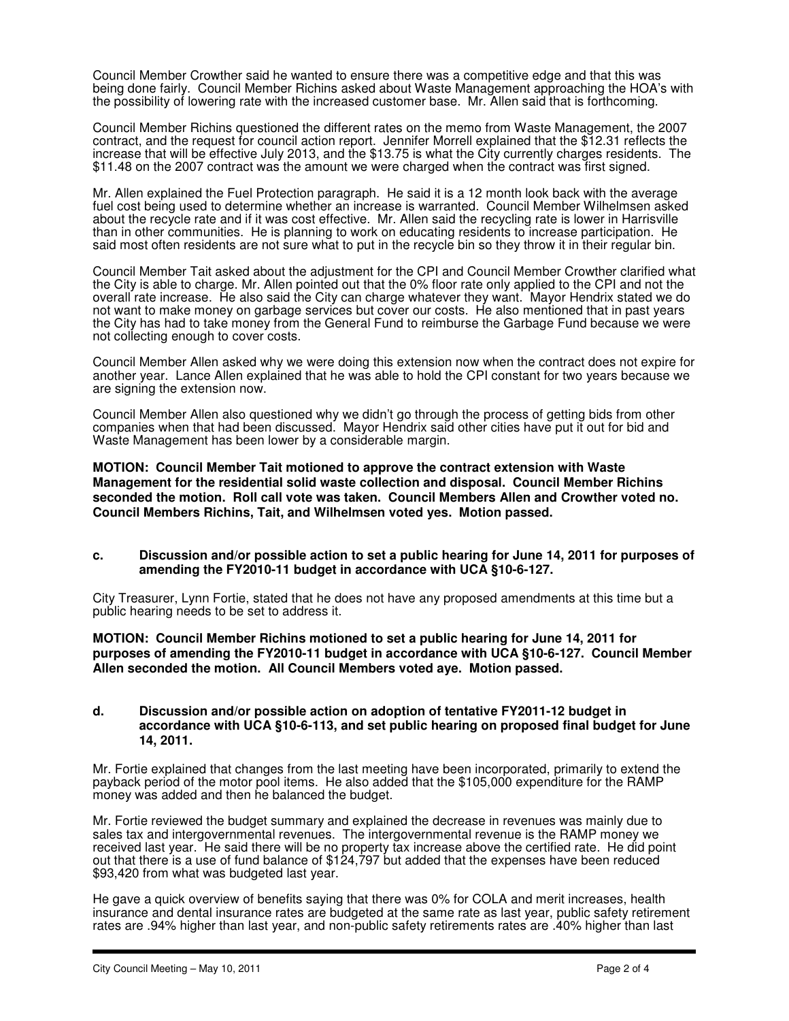Council Member Crowther said he wanted to ensure there was a competitive edge and that this was being done fairly. Council Member Richins asked about Waste Management approaching the HOA's with the possibility of lowering rate with the increased customer base. Mr. Allen said that is forthcoming.

Council Member Richins questioned the different rates on the memo from Waste Management, the 2007 contract, and the request for council action report. Jennifer Morrell explained that the \$12.31 reflects the increase that will be effective July 2013, and the \$13.75 is what the City currently charges residents. The \$11.48 on the 2007 contract was the amount we were charged when the contract was first signed.

Mr. Allen explained the Fuel Protection paragraph. He said it is a 12 month look back with the average fuel cost being used to determine whether an increase is warranted. Council Member Wilhelmsen asked about the recycle rate and if it was cost effective. Mr. Allen said the recycling rate is lower in Harrisville than in other communities. He is planning to work on educating residents to increase participation. He said most often residents are not sure what to put in the recycle bin so they throw it in their regular bin.

Council Member Tait asked about the adjustment for the CPI and Council Member Crowther clarified what the City is able to charge. Mr. Allen pointed out that the 0% floor rate only applied to the CPI and not the overall rate increase. He also said the City can charge whatever they want. Mayor Hendrix stated we do not want to make money on garbage services but cover our costs. He also mentioned that in past years the City has had to take money from the General Fund to reimburse the Garbage Fund because we were not collecting enough to cover costs.

Council Member Allen asked why we were doing this extension now when the contract does not expire for another year. Lance Allen explained that he was able to hold the CPI constant for two years because we are signing the extension now.

Council Member Allen also questioned why we didn't go through the process of getting bids from other companies when that had been discussed. Mayor Hendrix said other cities have put it out for bid and Waste Management has been lower by a considerable margin.

**MOTION: Council Member Tait motioned to approve the contract extension with Waste Management for the residential solid waste collection and disposal. Council Member Richins seconded the motion. Roll call vote was taken. Council Members Allen and Crowther voted no. Council Members Richins, Tait, and Wilhelmsen voted yes. Motion passed.** 

#### **c. Discussion and/or possible action to set a public hearing for June 14, 2011 for purposes of amending the FY2010-11 budget in accordance with UCA §10-6-127.**

City Treasurer, Lynn Fortie, stated that he does not have any proposed amendments at this time but a public hearing needs to be set to address it.

**MOTION: Council Member Richins motioned to set a public hearing for June 14, 2011 for purposes of amending the FY2010-11 budget in accordance with UCA §10-6-127. Council Member Allen seconded the motion. All Council Members voted aye. Motion passed.** 

### **d. Discussion and/or possible action on adoption of tentative FY2011-12 budget in accordance with UCA §10-6-113, and set public hearing on proposed final budget for June 14, 2011.**

Mr. Fortie explained that changes from the last meeting have been incorporated, primarily to extend the payback period of the motor pool items. He also added that the \$105,000 expenditure for the RAMP money was added and then he balanced the budget.

Mr. Fortie reviewed the budget summary and explained the decrease in revenues was mainly due to sales tax and intergovernmental revenues. The intergovernmental revenue is the RAMP money we received last year. He said there will be no property tax increase above the certified rate. He did point out that there is a use of fund balance of \$124,797 but added that the expenses have been reduced \$93,420 from what was budgeted last year.

He gave a quick overview of benefits saying that there was 0% for COLA and merit increases, health insurance and dental insurance rates are budgeted at the same rate as last year, public safety retirement rates are .94% higher than last year, and non-public safety retirements rates are .40% higher than last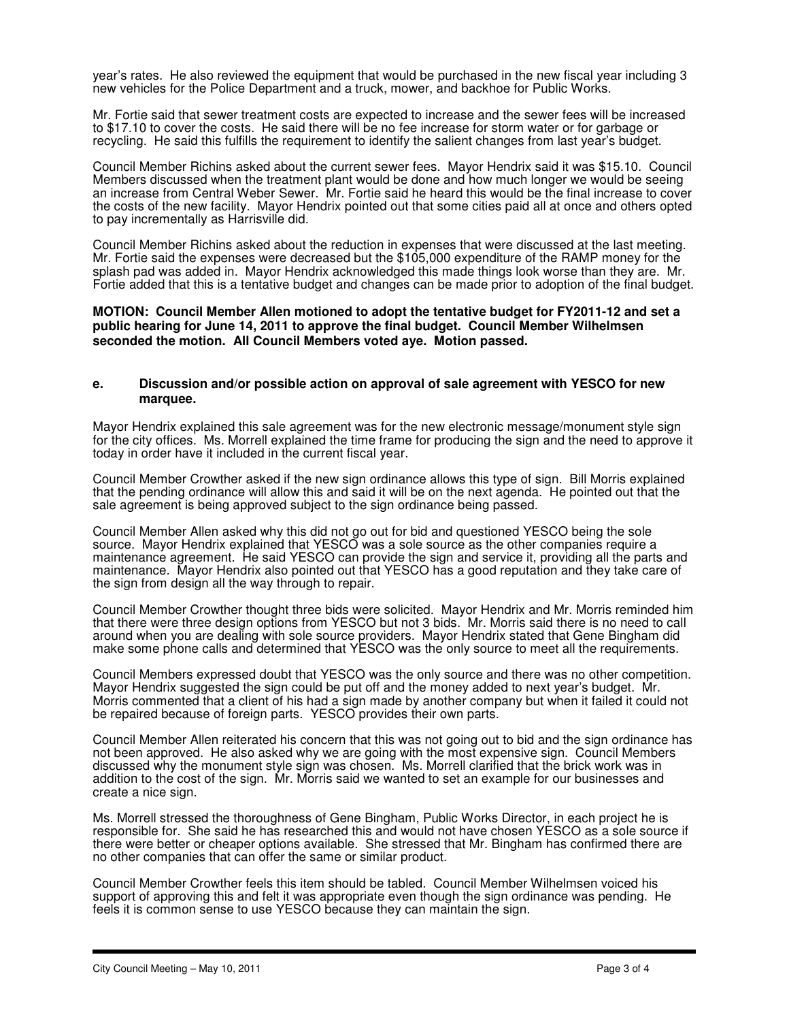year's rates. He also reviewed the equipment that would be purchased in the new fiscal year including 3 new vehicles for the Police Department and a truck, mower, and backhoe for Public Works.

Mr. Fortie said that sewer treatment costs are expected to increase and the sewer fees will be increased to \$17.10 to cover the costs. He said there will be no fee increase for storm water or for garbage or recycling. He said this fulfills the requirement to identify the salient changes from last year's budget.

Council Member Richins asked about the current sewer fees. Mayor Hendrix said it was \$15.10. Council Members discussed when the treatment plant would be done and how much longer we would be seeing an increase from Central Weber Sewer. Mr. Fortie said he heard this would be the final increase to cover the costs of the new facility. Mayor Hendrix pointed out that some cities paid all at once and others opted to pay incrementally as Harrisville did.

Council Member Richins asked about the reduction in expenses that were discussed at the last meeting. Mr. Fortie said the expenses were decreased but the \$105,000 expenditure of the RAMP money for the splash pad was added in. Mayor Hendrix acknowledged this made things look worse than they are. Mr. Fortie added that this is a tentative budget and changes can be made prior to adoption of the final budget.

### **MOTION: Council Member Allen motioned to adopt the tentative budget for FY2011-12 and set a public hearing for June 14, 2011 to approve the final budget. Council Member Wilhelmsen seconded the motion. All Council Members voted aye. Motion passed.**

#### **e. Discussion and/or possible action on approval of sale agreement with YESCO for new marquee.**

Mayor Hendrix explained this sale agreement was for the new electronic message/monument style sign for the city offices. Ms. Morrell explained the time frame for producing the sign and the need to approve it today in order have it included in the current fiscal year.

Council Member Crowther asked if the new sign ordinance allows this type of sign. Bill Morris explained that the pending ordinance will allow this and said it will be on the next agenda. He pointed out that the sale agreement is being approved subject to the sign ordinance being passed.

Council Member Allen asked why this did not go out for bid and questioned YESCO being the sole source. Mayor Hendrix explained that YESCO was a sole source as the other companies require a maintenance agreement. He said YESCO can provide the sign and service it, providing all the parts and maintenance. Mayor Hendrix also pointed out that YESCO has a good reputation and they take care of the sign from design all the way through to repair.

Council Member Crowther thought three bids were solicited. Mayor Hendrix and Mr. Morris reminded him that there were three design options from YESCO but not 3 bids. Mr. Morris said there is no need to call around when you are dealing with sole source providers. Mayor Hendrix stated that Gene Bingham did make some phone calls and determined that YESCO was the only source to meet all the requirements.

Council Members expressed doubt that YESCO was the only source and there was no other competition. Mayor Hendrix suggested the sign could be put off and the money added to next year's budget. Mr. Morris commented that a client of his had a sign made by another company but when it failed it could not be repaired because of foreign parts. YESCO provides their own parts.

Council Member Allen reiterated his concern that this was not going out to bid and the sign ordinance has not been approved. He also asked why we are going with the most expensive sign. Council Members discussed why the monument style sign was chosen. Ms. Morrell clarified that the brick work was in addition to the cost of the sign. Mr. Morris said we wanted to set an example for our businesses and create a nice sign.

Ms. Morrell stressed the thoroughness of Gene Bingham, Public Works Director, in each project he is responsible for. She said he has researched this and would not have chosen YESCO as a sole source if there were better or cheaper options available. She stressed that Mr. Bingham has confirmed there are no other companies that can offer the same or similar product.

Council Member Crowther feels this item should be tabled. Council Member Wilhelmsen voiced his support of approving this and felt it was appropriate even though the sign ordinance was pending. He feels it is common sense to use YESCO because they can maintain the sign.